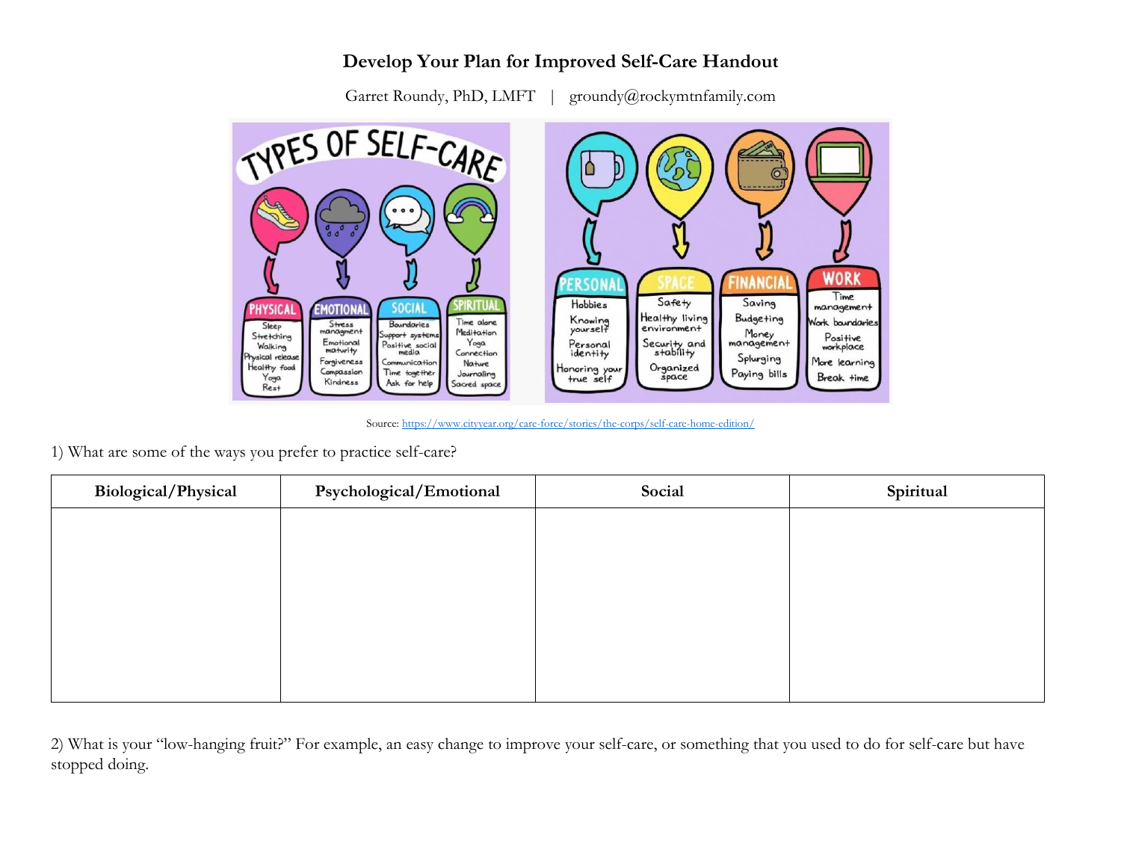## **Develop Your Plan for Improved Self-Care Handout**

Garret Roundy, PhD, LMFT | groundy@rockymtnfamily.com



Source:<https://www.cityyear.org/care-force/stories/the-corps/self-care-home-edition/>

1) What are some of the ways you prefer to practice self-care?

| <b>Biological/Physical</b> | Psychological/Emotional | Social | Spiritual |
|----------------------------|-------------------------|--------|-----------|
|                            |                         |        |           |
|                            |                         |        |           |
|                            |                         |        |           |
|                            |                         |        |           |
|                            |                         |        |           |
|                            |                         |        |           |

2) What is your "low-hanging fruit?" For example, an easy change to improve your self-care, or something that you used to do for self-care but have stopped doing.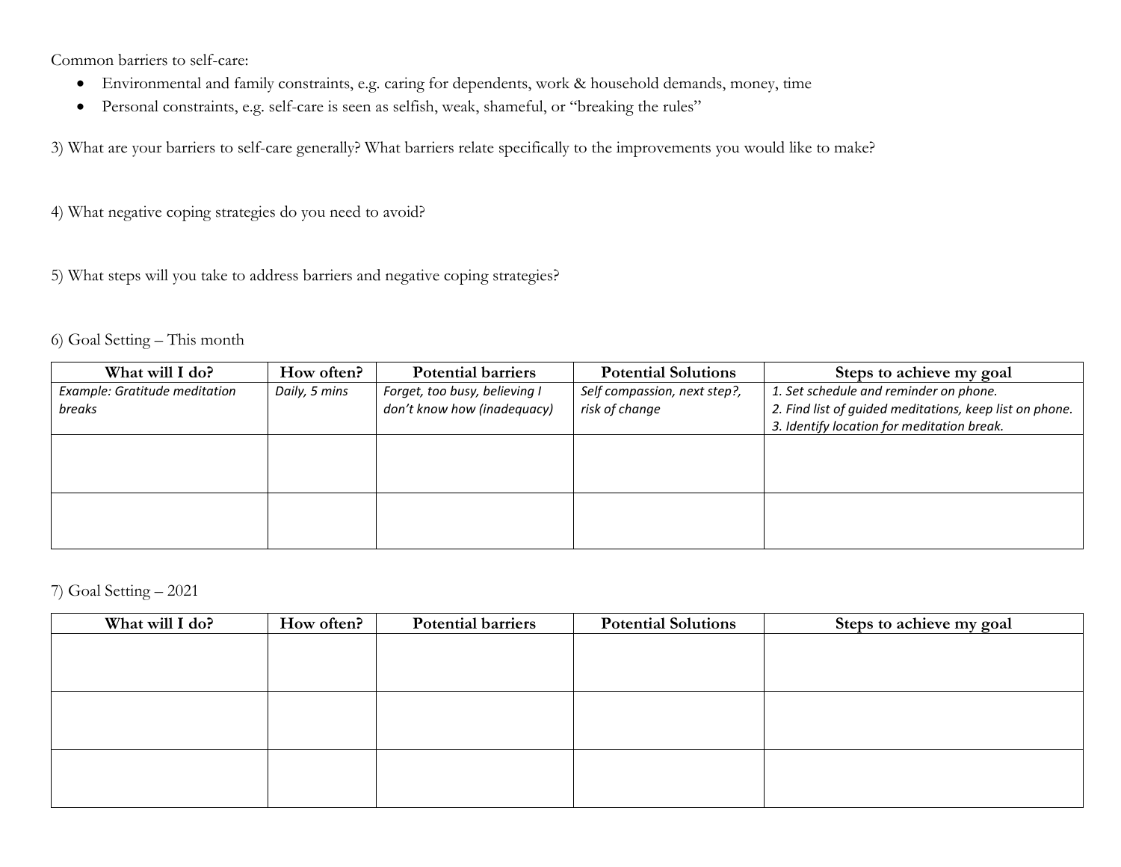Common barriers to self-care:

- Environmental and family constraints, e.g. caring for dependents, work & household demands, money, time
- Personal constraints, e.g. self-care is seen as selfish, weak, shameful, or "breaking the rules"

3) What are your barriers to self-care generally? What barriers relate specifically to the improvements you would like to make?

4) What negative coping strategies do you need to avoid?

5) What steps will you take to address barriers and negative coping strategies?

## 6) Goal Setting – This month

| What will I do?               | How often?    | <b>Potential barriers</b>     | <b>Potential Solutions</b>   | Steps to achieve my goal                                |
|-------------------------------|---------------|-------------------------------|------------------------------|---------------------------------------------------------|
| Example: Gratitude meditation | Daily, 5 mins | Forget, too busy, believing I | Self compassion, next step?, | 1. Set schedule and reminder on phone.                  |
| breaks                        |               | don't know how (inadequacy)   | risk of change               | 2. Find list of guided meditations, keep list on phone. |
|                               |               |                               |                              | 3. Identify location for meditation break.              |
|                               |               |                               |                              |                                                         |
|                               |               |                               |                              |                                                         |
|                               |               |                               |                              |                                                         |
|                               |               |                               |                              |                                                         |
|                               |               |                               |                              |                                                         |
|                               |               |                               |                              |                                                         |

7) Goal Setting – 2021

| What will I do? | How often? | <b>Potential barriers</b> | <b>Potential Solutions</b> | Steps to achieve my goal |
|-----------------|------------|---------------------------|----------------------------|--------------------------|
|                 |            |                           |                            |                          |
|                 |            |                           |                            |                          |
|                 |            |                           |                            |                          |
|                 |            |                           |                            |                          |
|                 |            |                           |                            |                          |
|                 |            |                           |                            |                          |
|                 |            |                           |                            |                          |
|                 |            |                           |                            |                          |
|                 |            |                           |                            |                          |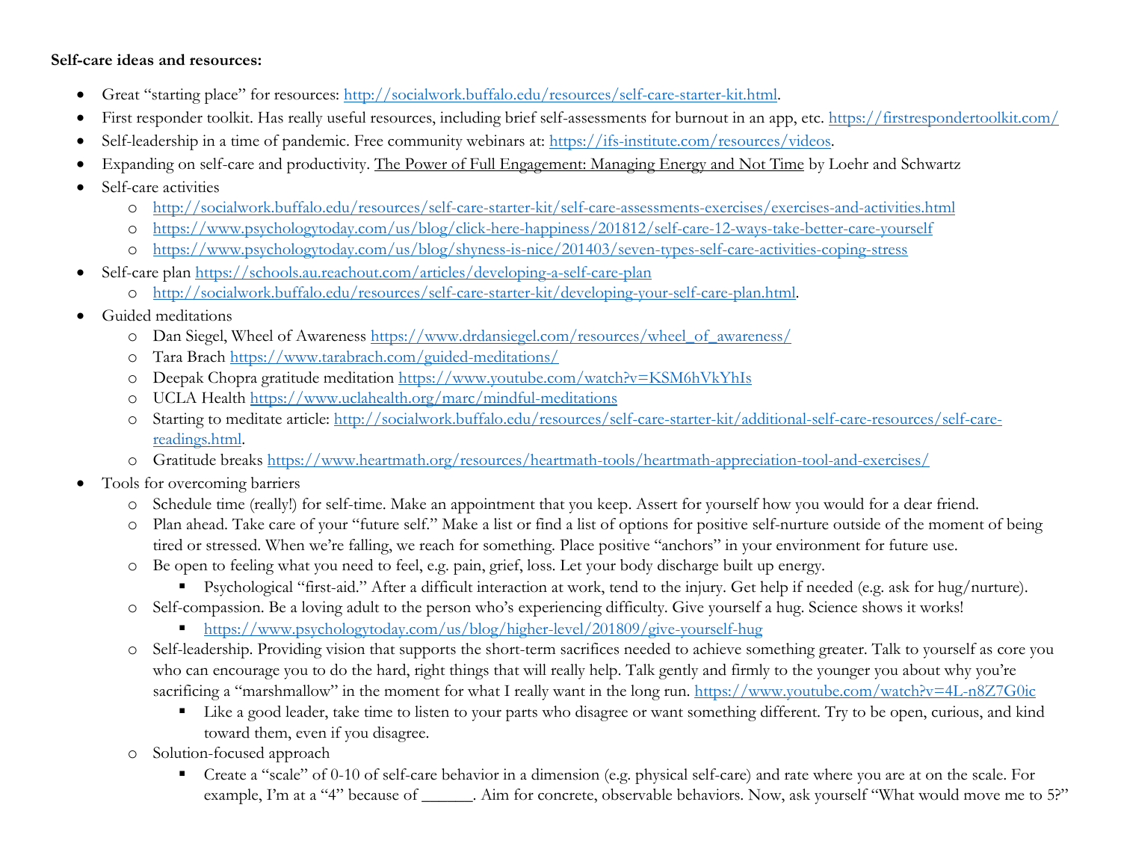## **Self-care ideas and resources:**

- Great "starting place" for resources: [http://socialwork.buffalo.edu/resources/self-care-starter-kit.html.](http://socialwork.buffalo.edu/resources/self-care-starter-kit.html)
- First responder toolkit. Has really useful resources, including brief self-assessments for burnout in an app, etc.<https://firstrespondertoolkit.com/>
- Self-leadership in a time of pandemic. Free community webinars at: [https://ifs-institute.com/resources/videos.](https://ifs-institute.com/resources/videos)
- Expanding on self-care and productivity. The Power of Full Engagement: Managing Energy and Not Time by Loehr and Schwartz
- Self-care activities
	- o <http://socialwork.buffalo.edu/resources/self-care-starter-kit/self-care-assessments-exercises/exercises-and-activities.html>
	- o <https://www.psychologytoday.com/us/blog/click-here-happiness/201812/self-care-12-ways-take-better-care-yourself>
	- o <https://www.psychologytoday.com/us/blog/shyness-is-nice/201403/seven-types-self-care-activities-coping-stress>
- Self-care plan<https://schools.au.reachout.com/articles/developing-a-self-care-plan>
	- o [http://socialwork.buffalo.edu/resources/self-care-starter-kit/developing-your-self-care-plan.html.](http://socialwork.buffalo.edu/resources/self-care-starter-kit/developing-your-self-care-plan.html)
- Guided meditations
	- o Dan Siegel, Wheel of Awareness [https://www.drdansiegel.com/resources/wheel\\_of\\_awareness/](https://www.drdansiegel.com/resources/wheel_of_awareness/)
	- o Tara Brach<https://www.tarabrach.com/guided-meditations/>
	- o Deepak Chopra gratitude meditation<https://www.youtube.com/watch?v=KSM6hVkYhIs>
	- o UCLA Health<https://www.uclahealth.org/marc/mindful-meditations>
	- o Starting to meditate article: [http://socialwork.buffalo.edu/resources/self-care-starter-kit/additional-self-care-resources/self-care](http://socialwork.buffalo.edu/resources/self-care-starter-kit/additional-self-care-resources/self-care-readings.html)[readings.html.](http://socialwork.buffalo.edu/resources/self-care-starter-kit/additional-self-care-resources/self-care-readings.html)
	- o Gratitude breaks<https://www.heartmath.org/resources/heartmath-tools/heartmath-appreciation-tool-and-exercises/>
- Tools for overcoming barriers
	- o Schedule time (really!) for self-time. Make an appointment that you keep. Assert for yourself how you would for a dear friend.
	- o Plan ahead. Take care of your "future self." Make a list or find a list of options for positive self-nurture outside of the moment of being tired or stressed. When we're falling, we reach for something. Place positive "anchors" in your environment for future use.
	- o Be open to feeling what you need to feel, e.g. pain, grief, loss. Let your body discharge built up energy.
		- Psychological "first-aid." After a difficult interaction at work, tend to the injury. Get help if needed (e.g. ask for hug/nurture).
	- o Self-compassion. Be a loving adult to the person who's experiencing difficulty. Give yourself a hug. Science shows it works!
		- <https://www.psychologytoday.com/us/blog/higher-level/201809/give-yourself-hug>
	- o Self-leadership. Providing vision that supports the short-term sacrifices needed to achieve something greater. Talk to yourself as core you who can encourage you to do the hard, right things that will really help. Talk gently and firmly to the younger you about why you're sacrificing a "marshmallow" in the moment for what I really want in the long run. <https://www.youtube.com/watch?v=4L-n8Z7G0ic>
		- Like a good leader, take time to listen to your parts who disagree or want something different. Try to be open, curious, and kind toward them, even if you disagree.
	- o Solution-focused approach
		- Create a "scale" of 0-10 of self-care behavior in a dimension (e.g. physical self-care) and rate where you are at on the scale. For example, I'm at a "4" because of \_\_\_\_\_\_. Aim for concrete, observable behaviors. Now, ask yourself "What would move me to 5?"